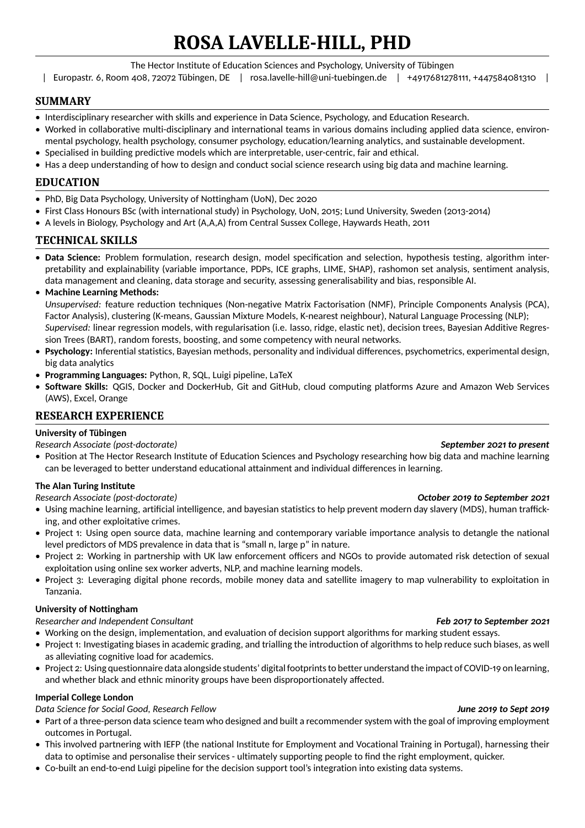# **ROSA LAVELLE-HILL, PHD**

The Hector Institute of Education Sciences and Psychology, University of Tübingen

| Europastr. 6, Room 408, 72072 Tübingen, DE | rosa.lavelle-hill@uni-tuebingen.de | +4917681278111, +447584081310 |

### **SUMMARY**

- Interdisciplinary researcher with skills and experience in Data Science, Psychology, and Education Research.
- Worked in collaborative multi-disciplinary and international teams in various domains including applied data science, environmental psychology, health psychology, consumer psychology, education/learning analytics, and sustainable development.
- Specialised in building predictive models which are interpretable, user-centric, fair and ethical.
- Has a deep understanding of how to design and conduct social science research using big data and machine learning.

# **EDUCATION**

- PhD, Big Data Psychology, University of Nottingham (UoN), Dec 2020
- First Class Honours BSc (with international study) in Psychology, UoN, 2015; Lund University, Sweden (2013-2014)
- A levels in Biology, Psychology and Art (A,A,A) from Central Sussex College, Haywards Heath, 2011

### **TECHNICAL SKILLS**

- **Data Science:** Problem formulation, research design, model specification and selection, hypothesis testing, algorithm interpretability and explainability (variable importance, PDPs, ICE graphs, LIME, SHAP), rashomon set analysis, sentiment analysis, data management and cleaning, data storage and security, assessing generalisability and bias, responsible AI.
- **Machine Learning Methods:**

*Unsupervised:* feature reduction techniques (Non-negative Matrix Factorisation (NMF), Principle Components Analysis (PCA), Factor Analysis), clustering (K-means, Gaussian Mixture Models, K-nearest neighbour), Natural Language Processing (NLP); *Supervised:* linear regression models, with regularisation (i.e. lasso, ridge, elastic net), decision trees, Bayesian Additive Regression Trees (BART), random forests, boosting, and some competency with neural networks.

- **Psychology:** Inferential statistics, Bayesian methods, personality and individual differences, psychometrics, experimental design, big data analytics
- **Programming Languages:** Python, R, SQL, Luigi pipeline, LaTeX
- **Software Skills:** QGIS, Docker and DockerHub, Git and GitHub, cloud computing platforms Azure and Amazon Web Services (AWS), Excel, Orange

# **RESEARCH EXPERIENCE**

### **University of Tübingen**

*Research Associate (post-doctorate) September 2021 to present*

• Position at The Hector Research Institute of Education Sciences and Psychology researching how big data and machine learning can be leveraged to better understand educational attainment and individual differences in learning.

### **The Alan Turing Institute**

*Research Associate (post-doctorate) October 2019 to September 2021*

- Using machine learning, artificial intelligence, and bayesian statistics to help prevent modern day slavery (MDS), human trafficking, and other exploitative crimes.
- Project 1: Using open source data, machine learning and contemporary variable importance analysis to detangle the national level predictors of MDS prevalence in data that is "small n, large p" in nature.
- Project 2: Working in partnership with UK law enforcement officers and NGOs to provide automated risk detection of sexual exploitation using online sex worker adverts, NLP, and machine learning models.
- Project 3: Leveraging digital phone records, mobile money data and satellite imagery to map vulnerability to exploitation in Tanzania.

### **University of Nottingham**

*Researcher and Independent Consultant Feb 2017 to September 2021*

- Working on the design, implementation, and evaluation of decision support algorithms for marking student essays.
- Project 1: Investigating biases in academic grading, and trialling the introduction of algorithms to help reduce such biases, as well as alleviating cognitive load for academics.
- Project 2: Using questionnaire data alongside students' digital footprints to better understand the impact of COVID-19 on learning, and whether black and ethnic minority groups have been disproportionately affected.

### **Imperial College London**

*Data Science for Social Good, Research Fellow June 2019 to Sept 2019*

- Part of a three-person data science team who designed and built a recommender system with the goal of improving employment outcomes in Portugal.
- This involved partnering with IEFP (the national Institute for Employment and Vocational Training in Portugal), harnessing their data to optimise and personalise their services - ultimately supporting people to find the right employment, quicker.
- Co-built an end-to-end Luigi pipeline for the decision support tool's integration into existing data systems.